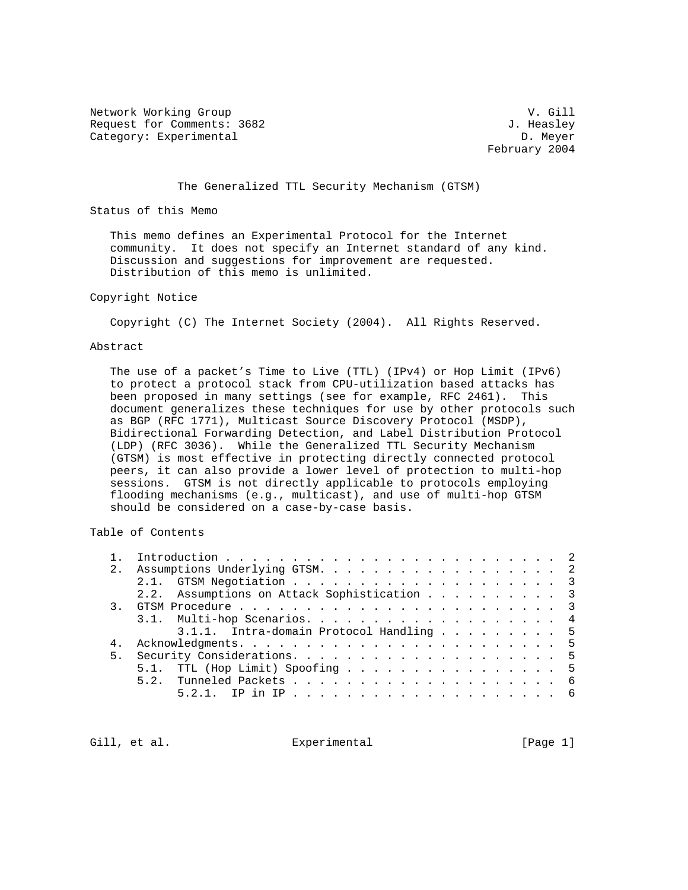Network Working Group and the set of the set of the set of the set of the set of the set of the set of the set of the set of the set of the set of the set of the set of the set of the set of the set of the set of the set o Request for Comments: 3682 J. Heasley Category: Experimental D. Meyer

February 2004

The Generalized TTL Security Mechanism (GTSM)

Status of this Memo

 This memo defines an Experimental Protocol for the Internet community. It does not specify an Internet standard of any kind. Discussion and suggestions for improvement are requested. Distribution of this memo is unlimited.

## Copyright Notice

Copyright (C) The Internet Society (2004). All Rights Reserved.

## Abstract

 The use of a packet's Time to Live (TTL) (IPv4) or Hop Limit (IPv6) to protect a protocol stack from CPU-utilization based attacks has been proposed in many settings (see for example, RFC 2461). This document generalizes these techniques for use by other protocols such as BGP (RFC 1771), Multicast Source Discovery Protocol (MSDP), Bidirectional Forwarding Detection, and Label Distribution Protocol (LDP) (RFC 3036). While the Generalized TTL Security Mechanism (GTSM) is most effective in protecting directly connected protocol peers, it can also provide a lower level of protection to multi-hop sessions. GTSM is not directly applicable to protocols employing flooding mechanisms (e.g., multicast), and use of multi-hop GTSM should be considered on a case-by-case basis.

Table of Contents

| 2.1 | Assumptions Underlying GTSM. 2              |
|-----|---------------------------------------------|
|     |                                             |
|     | 2.2. Assumptions on Attack Sophistication 3 |
|     |                                             |
|     | 3.1. Multi-hop Scenarios. 4                 |
|     | 3.1.1. Intra-domain Protocol Handling 5     |
|     |                                             |
|     |                                             |
|     | 5.1. TTL (Hop Limit) Spoofing 5             |
|     |                                             |
|     |                                             |
|     |                                             |

Gill, et al. Experimental [Page 1]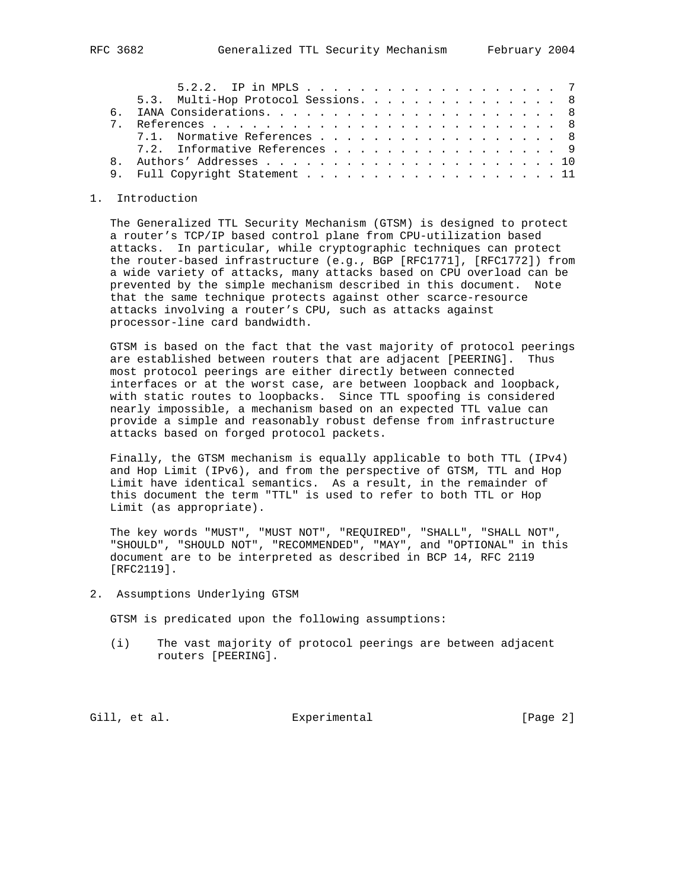| 5.2.2. IP in MPLS 7                 |  |  |  |
|-------------------------------------|--|--|--|
| 5.3. Multi-Hop Protocol Sessions. 8 |  |  |  |
|                                     |  |  |  |
|                                     |  |  |  |
| 7.1. Normative References 8         |  |  |  |
| 7.2. Informative References 9       |  |  |  |
|                                     |  |  |  |
| 9. Full Copyright Statement 11      |  |  |  |

## 1. Introduction

 The Generalized TTL Security Mechanism (GTSM) is designed to protect a router's TCP/IP based control plane from CPU-utilization based attacks. In particular, while cryptographic techniques can protect the router-based infrastructure (e.g., BGP [RFC1771], [RFC1772]) from a wide variety of attacks, many attacks based on CPU overload can be prevented by the simple mechanism described in this document. Note that the same technique protects against other scarce-resource attacks involving a router's CPU, such as attacks against processor-line card bandwidth.

 GTSM is based on the fact that the vast majority of protocol peerings are established between routers that are adjacent [PEERING]. Thus most protocol peerings are either directly between connected interfaces or at the worst case, are between loopback and loopback, with static routes to loopbacks. Since TTL spoofing is considered nearly impossible, a mechanism based on an expected TTL value can provide a simple and reasonably robust defense from infrastructure attacks based on forged protocol packets.

 Finally, the GTSM mechanism is equally applicable to both TTL (IPv4) and Hop Limit (IPv6), and from the perspective of GTSM, TTL and Hop Limit have identical semantics. As a result, in the remainder of this document the term "TTL" is used to refer to both TTL or Hop Limit (as appropriate).

 The key words "MUST", "MUST NOT", "REQUIRED", "SHALL", "SHALL NOT", "SHOULD", "SHOULD NOT", "RECOMMENDED", "MAY", and "OPTIONAL" in this document are to be interpreted as described in BCP 14, RFC 2119 [RFC2119].

2. Assumptions Underlying GTSM

GTSM is predicated upon the following assumptions:

 (i) The vast majority of protocol peerings are between adjacent routers [PEERING].

Gill, et al. Experimental [Page 2]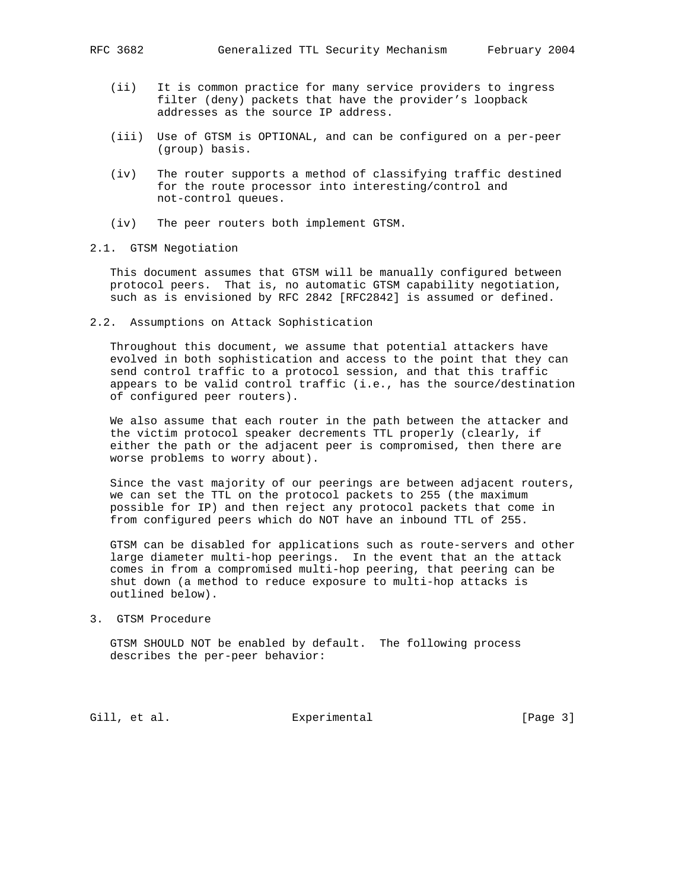- (ii) It is common practice for many service providers to ingress filter (deny) packets that have the provider's loopback addresses as the source IP address.
- (iii) Use of GTSM is OPTIONAL, and can be configured on a per-peer (group) basis.
- (iv) The router supports a method of classifying traffic destined for the route processor into interesting/control and not-control queues.
- (iv) The peer routers both implement GTSM.
- 2.1. GTSM Negotiation

 This document assumes that GTSM will be manually configured between protocol peers. That is, no automatic GTSM capability negotiation, such as is envisioned by RFC 2842 [RFC2842] is assumed or defined.

2.2. Assumptions on Attack Sophistication

 Throughout this document, we assume that potential attackers have evolved in both sophistication and access to the point that they can send control traffic to a protocol session, and that this traffic appears to be valid control traffic (i.e., has the source/destination of configured peer routers).

 We also assume that each router in the path between the attacker and the victim protocol speaker decrements TTL properly (clearly, if either the path or the adjacent peer is compromised, then there are worse problems to worry about).

 Since the vast majority of our peerings are between adjacent routers, we can set the TTL on the protocol packets to 255 (the maximum possible for IP) and then reject any protocol packets that come in from configured peers which do NOT have an inbound TTL of 255.

 GTSM can be disabled for applications such as route-servers and other large diameter multi-hop peerings. In the event that an the attack comes in from a compromised multi-hop peering, that peering can be shut down (a method to reduce exposure to multi-hop attacks is outlined below).

3. GTSM Procedure

 GTSM SHOULD NOT be enabled by default. The following process describes the per-peer behavior:

Gill, et al. Experimental [Page 3]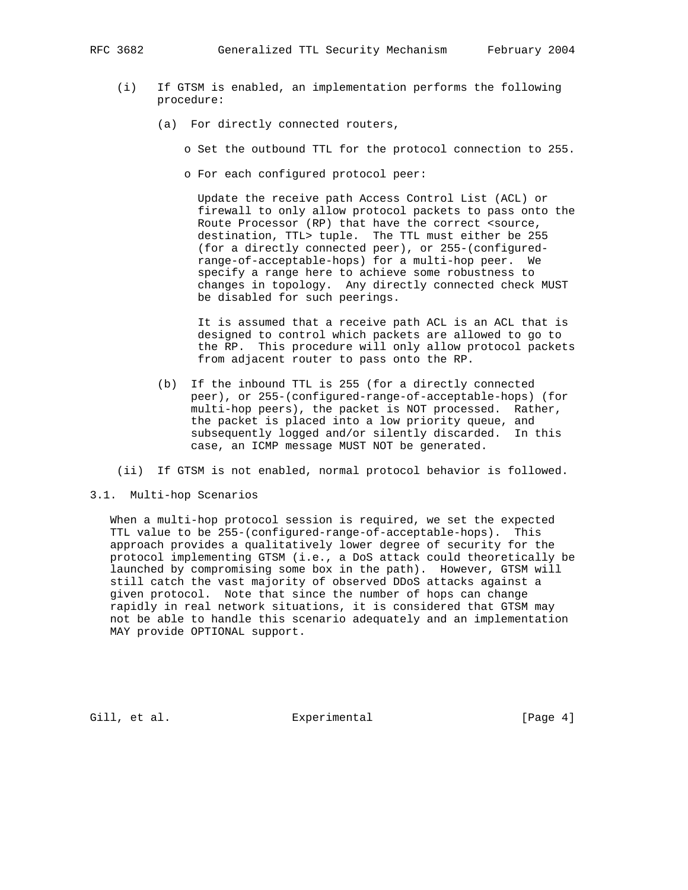- (i) If GTSM is enabled, an implementation performs the following procedure:
	- (a) For directly connected routers,
		- o Set the outbound TTL for the protocol connection to 255.
		- o For each configured protocol peer:

 Update the receive path Access Control List (ACL) or firewall to only allow protocol packets to pass onto the Route Processor (RP) that have the correct <source, destination, TTL> tuple. The TTL must either be 255 (for a directly connected peer), or 255-(configured range-of-acceptable-hops) for a multi-hop peer. We specify a range here to achieve some robustness to changes in topology. Any directly connected check MUST be disabled for such peerings.

 It is assumed that a receive path ACL is an ACL that is designed to control which packets are allowed to go to the RP. This procedure will only allow protocol packets from adjacent router to pass onto the RP.

- (b) If the inbound TTL is 255 (for a directly connected peer), or 255-(configured-range-of-acceptable-hops) (for multi-hop peers), the packet is NOT processed. Rather, the packet is placed into a low priority queue, and subsequently logged and/or silently discarded. In this case, an ICMP message MUST NOT be generated.
- (ii) If GTSM is not enabled, normal protocol behavior is followed.
- 3.1. Multi-hop Scenarios

 When a multi-hop protocol session is required, we set the expected TTL value to be 255-(configured-range-of-acceptable-hops). This approach provides a qualitatively lower degree of security for the protocol implementing GTSM (i.e., a DoS attack could theoretically be launched by compromising some box in the path). However, GTSM will still catch the vast majority of observed DDoS attacks against a given protocol. Note that since the number of hops can change rapidly in real network situations, it is considered that GTSM may not be able to handle this scenario adequately and an implementation MAY provide OPTIONAL support.

Gill, et al. Experimental [Page 4]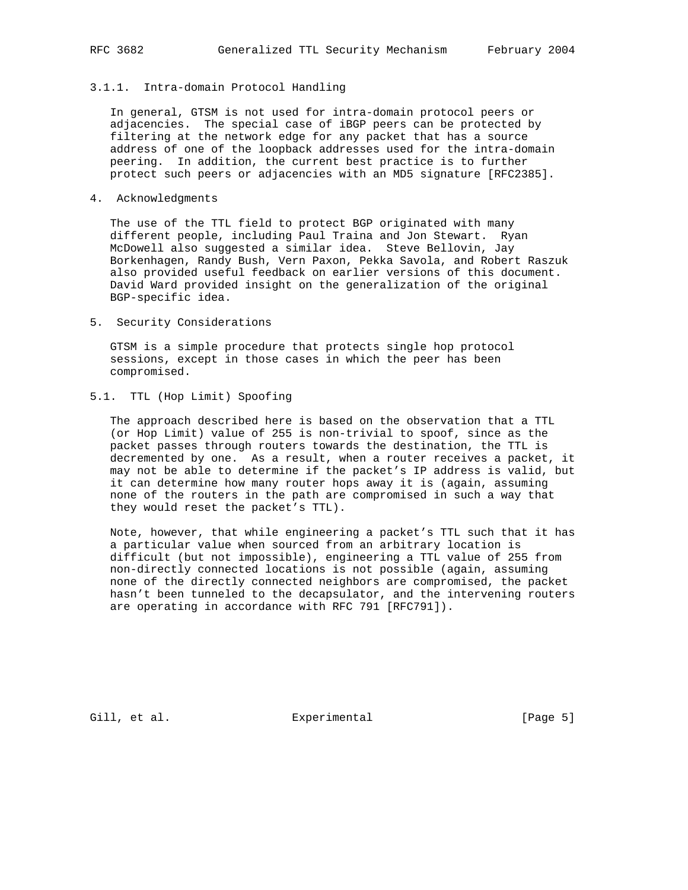## 3.1.1. Intra-domain Protocol Handling

 In general, GTSM is not used for intra-domain protocol peers or adjacencies. The special case of iBGP peers can be protected by filtering at the network edge for any packet that has a source address of one of the loopback addresses used for the intra-domain peering. In addition, the current best practice is to further protect such peers or adjacencies with an MD5 signature [RFC2385].

4. Acknowledgments

 The use of the TTL field to protect BGP originated with many different people, including Paul Traina and Jon Stewart. Ryan McDowell also suggested a similar idea. Steve Bellovin, Jay Borkenhagen, Randy Bush, Vern Paxon, Pekka Savola, and Robert Raszuk also provided useful feedback on earlier versions of this document. David Ward provided insight on the generalization of the original BGP-specific idea.

5. Security Considerations

 GTSM is a simple procedure that protects single hop protocol sessions, except in those cases in which the peer has been compromised.

# 5.1. TTL (Hop Limit) Spoofing

 The approach described here is based on the observation that a TTL (or Hop Limit) value of 255 is non-trivial to spoof, since as the packet passes through routers towards the destination, the TTL is decremented by one. As a result, when a router receives a packet, it may not be able to determine if the packet's IP address is valid, but it can determine how many router hops away it is (again, assuming none of the routers in the path are compromised in such a way that they would reset the packet's TTL).

 Note, however, that while engineering a packet's TTL such that it has a particular value when sourced from an arbitrary location is difficult (but not impossible), engineering a TTL value of 255 from non-directly connected locations is not possible (again, assuming none of the directly connected neighbors are compromised, the packet hasn't been tunneled to the decapsulator, and the intervening routers are operating in accordance with RFC 791 [RFC791]).

Gill, et al. Superimental Experimental [Page 5]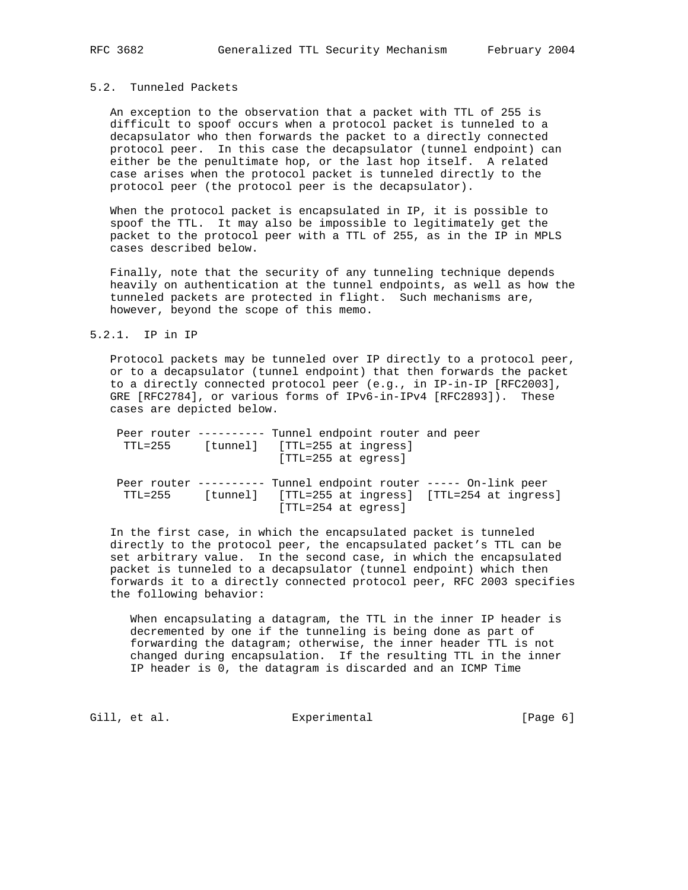# 5.2. Tunneled Packets

 An exception to the observation that a packet with TTL of 255 is difficult to spoof occurs when a protocol packet is tunneled to a decapsulator who then forwards the packet to a directly connected protocol peer. In this case the decapsulator (tunnel endpoint) can either be the penultimate hop, or the last hop itself. A related case arises when the protocol packet is tunneled directly to the protocol peer (the protocol peer is the decapsulator).

 When the protocol packet is encapsulated in IP, it is possible to spoof the TTL. It may also be impossible to legitimately get the packet to the protocol peer with a TTL of 255, as in the IP in MPLS cases described below.

 Finally, note that the security of any tunneling technique depends heavily on authentication at the tunnel endpoints, as well as how the tunneled packets are protected in flight. Such mechanisms are, however, beyond the scope of this memo.

## 5.2.1. IP in IP

 Protocol packets may be tunneled over IP directly to a protocol peer, or to a decapsulator (tunnel endpoint) that then forwards the packet to a directly connected protocol peer (e.g., in IP-in-IP [RFC2003], GRE [RFC2784], or various forms of IPv6-in-IPv4 [RFC2893]). These cases are depicted below.

|         | Peer router ---------- Tunnel endpoint router and peer          |  |
|---------|-----------------------------------------------------------------|--|
| TTL=255 | [tunnel] [TTL=255 at ingress]                                   |  |
|         | $[TTL=255$ at eqress]                                           |  |
|         | Peer router --------- Tunnel endpoint router ----- On-link peer |  |
| TTL=255 | [tunnel] [TTL=255 at ingress] [TTL=254 at ingress]              |  |
|         | $[TTL=254$ at eqress]                                           |  |

 In the first case, in which the encapsulated packet is tunneled directly to the protocol peer, the encapsulated packet's TTL can be set arbitrary value. In the second case, in which the encapsulated packet is tunneled to a decapsulator (tunnel endpoint) which then forwards it to a directly connected protocol peer, RFC 2003 specifies the following behavior:

 When encapsulating a datagram, the TTL in the inner IP header is decremented by one if the tunneling is being done as part of forwarding the datagram; otherwise, the inner header TTL is not changed during encapsulation. If the resulting TTL in the inner IP header is 0, the datagram is discarded and an ICMP Time

Gill, et al. Superimental Experimental [Page 6]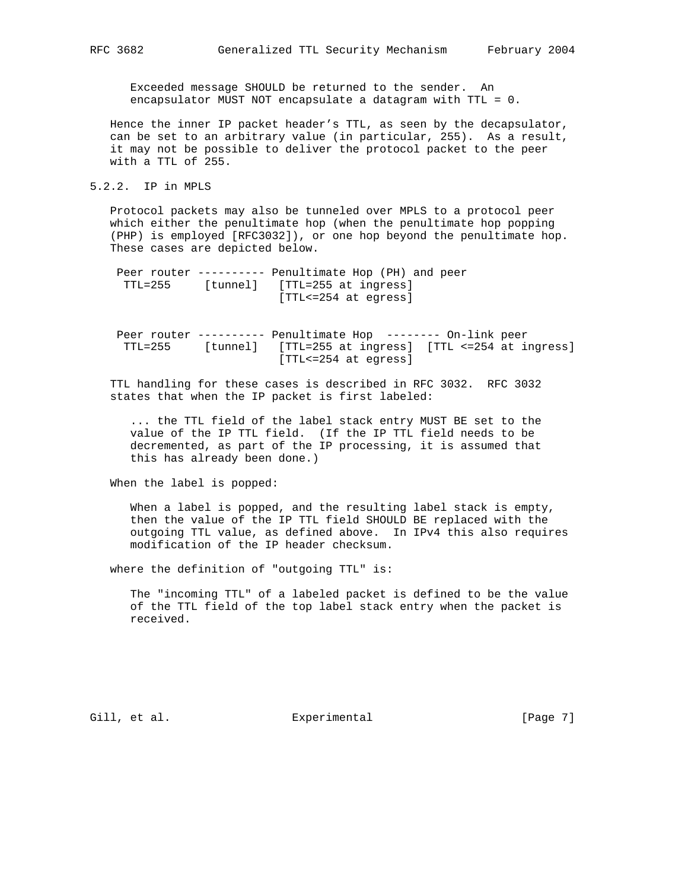Exceeded message SHOULD be returned to the sender. An encapsulator MUST NOT encapsulate a datagram with TTL = 0.

 Hence the inner IP packet header's TTL, as seen by the decapsulator, can be set to an arbitrary value (in particular, 255). As a result, it may not be possible to deliver the protocol packet to the peer with a TTL of 255.

## 5.2.2. IP in MPLS

 Protocol packets may also be tunneled over MPLS to a protocol peer which either the penultimate hop (when the penultimate hop popping (PHP) is employed [RFC3032]), or one hop beyond the penultimate hop. These cases are depicted below.

|         |          | Peer router --------- Penultimate Hop (PH) and peer |
|---------|----------|-----------------------------------------------------|
| TTL=255 | [tunnel] | [TTL=255 at ingress]                                |
|         |          | [TTL<=254 at eqress]                                |

 Peer router ---------- Penultimate Hop -------- On-link peer TTL=255 [tunnel] [TTL=255 at ingress] [TTL <=254 at ingress] [TTL<=254 at egress]

 TTL handling for these cases is described in RFC 3032. RFC 3032 states that when the IP packet is first labeled:

 ... the TTL field of the label stack entry MUST BE set to the value of the IP TTL field. (If the IP TTL field needs to be decremented, as part of the IP processing, it is assumed that this has already been done.)

When the label is popped:

 When a label is popped, and the resulting label stack is empty, then the value of the IP TTL field SHOULD BE replaced with the outgoing TTL value, as defined above. In IPv4 this also requires modification of the IP header checksum.

where the definition of "outgoing TTL" is:

 The "incoming TTL" of a labeled packet is defined to be the value of the TTL field of the top label stack entry when the packet is received.

Gill, et al. Experimental [Page 7]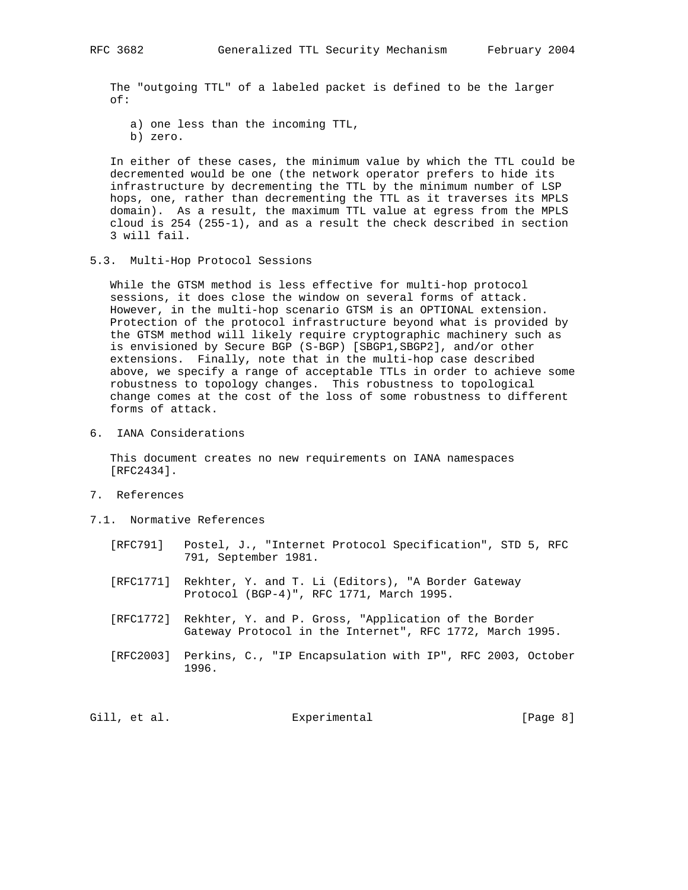The "outgoing TTL" of a labeled packet is defined to be the larger of:

- a) one less than the incoming TTL, b) zero.
- In either of these cases, the minimum value by which the TTL could be decremented would be one (the network operator prefers to hide its infrastructure by decrementing the TTL by the minimum number of LSP hops, one, rather than decrementing the TTL as it traverses its MPLS domain). As a result, the maximum TTL value at egress from the MPLS cloud is 254 (255-1), and as a result the check described in section
- 5.3. Multi-Hop Protocol Sessions

 While the GTSM method is less effective for multi-hop protocol sessions, it does close the window on several forms of attack. However, in the multi-hop scenario GTSM is an OPTIONAL extension. Protection of the protocol infrastructure beyond what is provided by the GTSM method will likely require cryptographic machinery such as is envisioned by Secure BGP (S-BGP) [SBGP1,SBGP2], and/or other extensions. Finally, note that in the multi-hop case described above, we specify a range of acceptable TTLs in order to achieve some robustness to topology changes. This robustness to topological change comes at the cost of the loss of some robustness to different forms of attack.

6. IANA Considerations

3 will fail.

 This document creates no new requirements on IANA namespaces [RFC2434].

- 7. References
- 7.1. Normative References
	- [RFC791] Postel, J., "Internet Protocol Specification", STD 5, RFC 791, September 1981.
	- [RFC1771] Rekhter, Y. and T. Li (Editors), "A Border Gateway Protocol (BGP-4)", RFC 1771, March 1995.
	- [RFC1772] Rekhter, Y. and P. Gross, "Application of the Border Gateway Protocol in the Internet", RFC 1772, March 1995.
	- [RFC2003] Perkins, C., "IP Encapsulation with IP", RFC 2003, October 1996.

Gill, et al. Experimental [Page 8]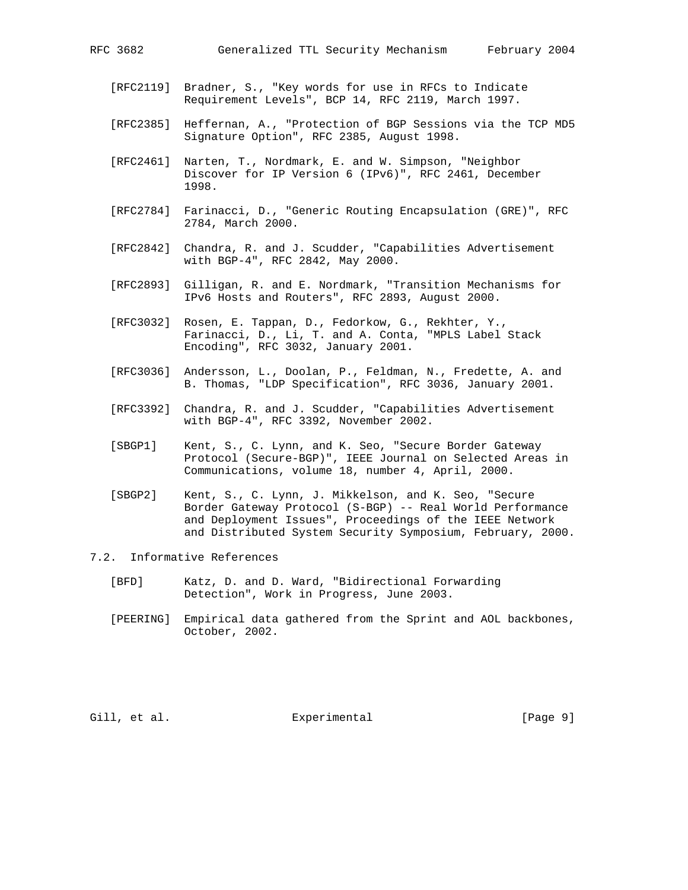- [RFC2119] Bradner, S., "Key words for use in RFCs to Indicate Requirement Levels", BCP 14, RFC 2119, March 1997.
- [RFC2385] Heffernan, A., "Protection of BGP Sessions via the TCP MD5 Signature Option", RFC 2385, August 1998.
- [RFC2461] Narten, T., Nordmark, E. and W. Simpson, "Neighbor Discover for IP Version 6 (IPv6)", RFC 2461, December 1998.
- [RFC2784] Farinacci, D., "Generic Routing Encapsulation (GRE)", RFC 2784, March 2000.
- [RFC2842] Chandra, R. and J. Scudder, "Capabilities Advertisement with BGP-4", RFC 2842, May 2000.
- [RFC2893] Gilligan, R. and E. Nordmark, "Transition Mechanisms for IPv6 Hosts and Routers", RFC 2893, August 2000.
- [RFC3032] Rosen, E. Tappan, D., Fedorkow, G., Rekhter, Y., Farinacci, D., Li, T. and A. Conta, "MPLS Label Stack Encoding", RFC 3032, January 2001.
- [RFC3036] Andersson, L., Doolan, P., Feldman, N., Fredette, A. and B. Thomas, "LDP Specification", RFC 3036, January 2001.
- [RFC3392] Chandra, R. and J. Scudder, "Capabilities Advertisement with BGP-4", RFC 3392, November 2002.
- [SBGP1] Kent, S., C. Lynn, and K. Seo, "Secure Border Gateway Protocol (Secure-BGP)", IEEE Journal on Selected Areas in Communications, volume 18, number 4, April, 2000.
- [SBGP2] Kent, S., C. Lynn, J. Mikkelson, and K. Seo, "Secure Border Gateway Protocol (S-BGP) -- Real World Performance and Deployment Issues", Proceedings of the IEEE Network and Distributed System Security Symposium, February, 2000.

## 7.2. Informative References

- [BFD] Katz, D. and D. Ward, "Bidirectional Forwarding Detection", Work in Progress, June 2003.
- [PEERING] Empirical data gathered from the Sprint and AOL backbones, October, 2002.

Gill, et al. Superimental Experimental [Page 9]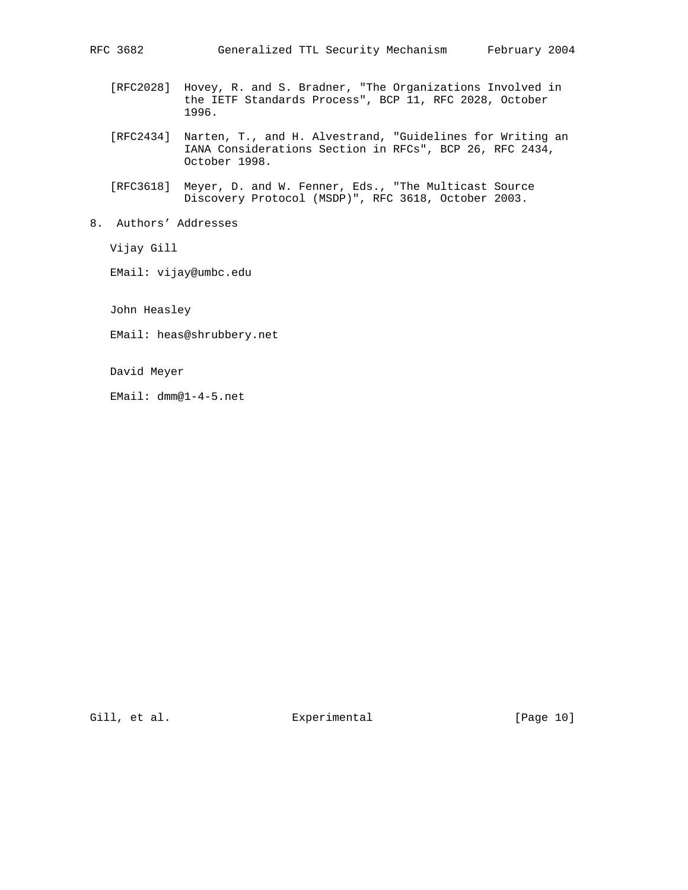- [RFC2028] Hovey, R. and S. Bradner, "The Organizations Involved in the IETF Standards Process", BCP 11, RFC 2028, October 1996.
- [RFC2434] Narten, T., and H. Alvestrand, "Guidelines for Writing an IANA Considerations Section in RFCs", BCP 26, RFC 2434, October 1998.
- [RFC3618] Meyer, D. and W. Fenner, Eds., "The Multicast Source Discovery Protocol (MSDP)", RFC 3618, October 2003.
- 8. Authors' Addresses

Vijay Gill

EMail: vijay@umbc.edu

John Heasley

EMail: heas@shrubbery.net

David Meyer

EMail: dmm@1-4-5.net

Gill, et al. Experimental [Page 10]